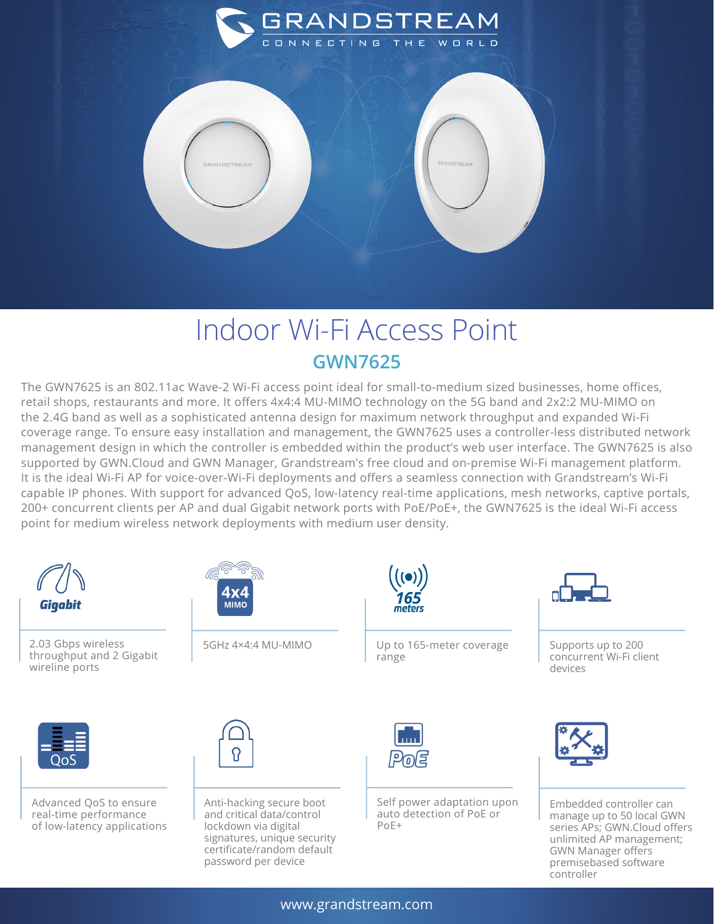

## Indoor Wi-Fi Access Point **GWN7625**

The GWN7625 is an 802.11ac Wave-2 Wi-Fi access point ideal for small-to-medium sized businesses, home offices, retail shops, restaurants and more. It offers 4x4:4 MU-MIMO technology on the 5G band and 2x2:2 MU-MIMO on the 2.4G band as well as a sophisticated antenna design for maximum network throughput and expanded Wi-Fi coverage range. To ensure easy installation and management, the GWN7625 uses a controller-less distributed network management design in which the controller is embedded within the product's web user interface. The GWN7625 is also supported by GWN.Cloud and GWN Manager, Grandstream's free cloud and on-premise Wi-Fi management platform. It is the ideal Wi-Fi AP for voice-over-Wi-Fi deployments and offers a seamless connection with Grandstream's Wi-Fi capable IP phones. With support for advanced QoS, low-latency real-time applications, mesh networks, captive portals, 200+ concurrent clients per AP and dual Gigabit network ports with PoE/PoE+, the GWN7625 is the ideal Wi-Fi access point for medium wireless network deployments with medium user density.



2.03 Gbps wireless throughput and 2 Gigabit wireline ports



5GHz 4×4:4 MU-MIMO



Up to 165-meter coverage range



Supports up to 200 concurrent Wi-Fi client devices



Advanced QoS to ensure real-time performance of low-latency applications



Anti-hacking secure boot and critical data/control lockdown via digital signatures, unique security certificate/random default password per device



Self power adaptation upon auto detection of PoE or PoE+



Embedded controller can manage up to 50 local GWN series APs; GWN.Cloud offers unlimited AP management; GWN Manager offers premisebased software controller